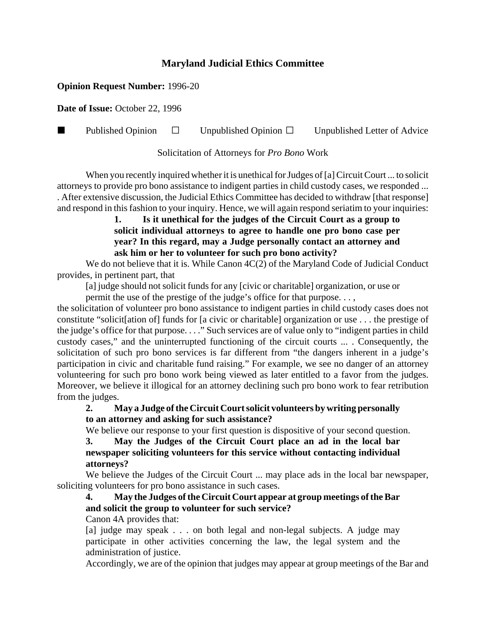### **Maryland Judicial Ethics Committee**

#### **Opinion Request Number:** 1996-20

**Date of Issue:** October 22, 1996

**Published Opinion**  $\Box$  Unpublished Opinion  $\Box$  Unpublished Letter of Advice

Solicitation of Attorneys for *Pro Bono* Work

When you recently inquired whether it is unethical for Judges of [a] Circuit Court ... to solicit attorneys to provide pro bono assistance to indigent parties in child custody cases, we responded ... . After extensive discussion, the Judicial Ethics Committee has decided to withdraw [that response] and respond in this fashion to your inquiry. Hence, we will again respond seriatim to your inquiries:

#### **1. Is it unethical for the judges of the Circuit Court as a group to solicit individual attorneys to agree to handle one pro bono case per year? In this regard, may a Judge personally contact an attorney and ask him or her to volunteer for such pro bono activity?**

We do not believe that it is. While Canon 4C(2) of the Maryland Code of Judicial Conduct provides, in pertinent part, that

[a] judge should not solicit funds for any [civic or charitable] organization, or use or

permit the use of the prestige of the judge's office for that purpose. . . ,

the solicitation of volunteer pro bono assistance to indigent parties in child custody cases does not constitute "solicit[ation of] funds for [a civic or charitable] organization or use . . . the prestige of the judge's office for that purpose. . . ." Such services are of value only to "indigent parties in child custody cases," and the uninterrupted functioning of the circuit courts ... . Consequently, the solicitation of such pro bono services is far different from "the dangers inherent in a judge's participation in civic and charitable fund raising." For example, we see no danger of an attorney volunteering for such pro bono work being viewed as later entitled to a favor from the judges. Moreover, we believe it illogical for an attorney declining such pro bono work to fear retribution from the judges.

#### **2. May a Judge of the Circuit Court solicit volunteers by writing personally to an attorney and asking for such assistance?**

We believe our response to your first question is dispositive of your second question.

**3. May the Judges of the Circuit Court place an ad in the local bar newspaper soliciting volunteers for this service without contacting individual attorneys?**

We believe the Judges of the Circuit Court ... may place ads in the local bar newspaper, soliciting volunteers for pro bono assistance in such cases.

# **4. May the Judges of the Circuit Court appear at group meetings of the Bar and solicit the group to volunteer for such service?**

Canon 4A provides that:

[a] judge may speak . . . on both legal and non-legal subjects. A judge may participate in other activities concerning the law, the legal system and the administration of justice.

Accordingly, we are of the opinion that judges may appear at group meetings of the Bar and